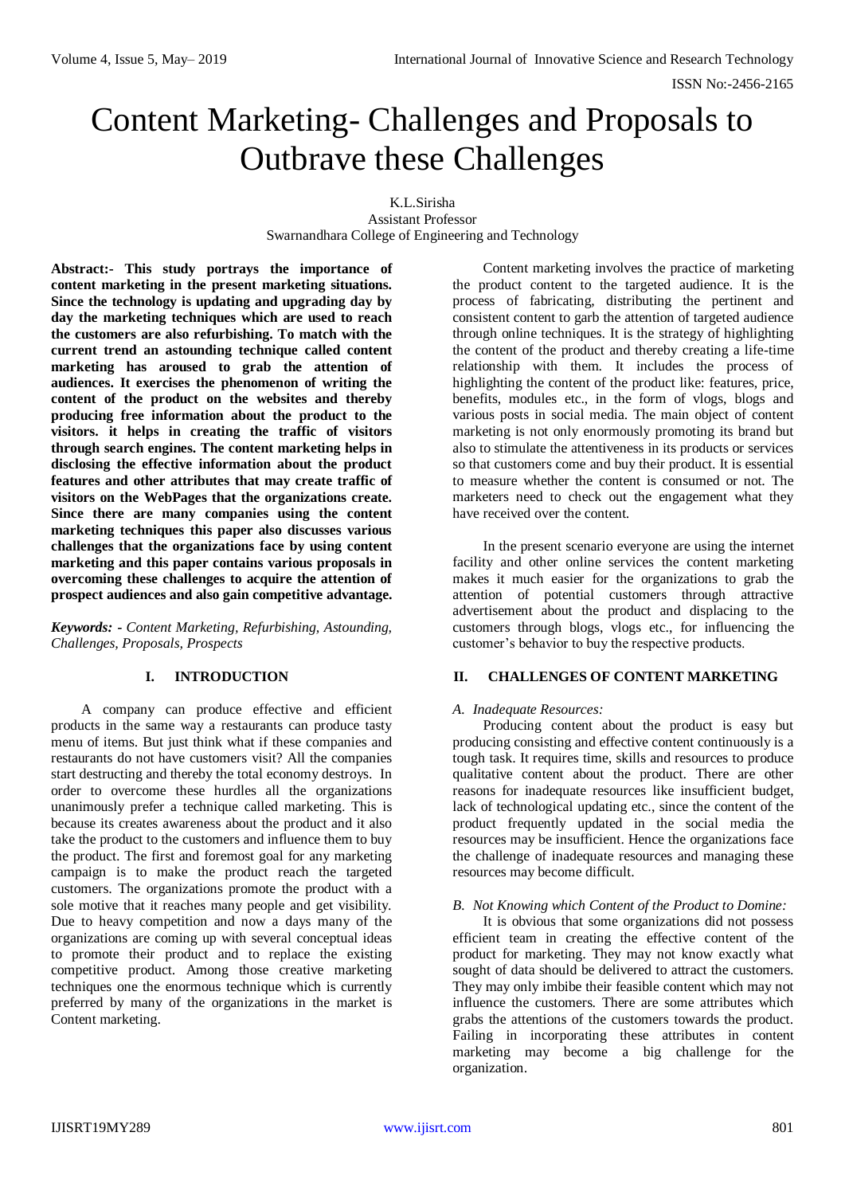ISSN No:-2456-2165

# Content Marketing- Challenges and Proposals to Outbrave these Challenges

K.L.Sirisha Assistant Professor Swarnandhara College of Engineering and Technology

**Abstract:- This study portrays the importance of content marketing in the present marketing situations. Since the technology is updating and upgrading day by day the marketing techniques which are used to reach the customers are also refurbishing. To match with the current trend an astounding technique called content marketing has aroused to grab the attention of audiences. It exercises the phenomenon of writing the content of the product on the websites and thereby producing free information about the product to the visitors. it helps in creating the traffic of visitors through search engines. The content marketing helps in disclosing the effective information about the product features and other attributes that may create traffic of visitors on the WebPages that the organizations create. Since there are many companies using the content marketing techniques this paper also discusses various challenges that the organizations face by using content marketing and this paper contains various proposals in overcoming these challenges to acquire the attention of prospect audiences and also gain competitive advantage.**

*Keywords: - Content Marketing, Refurbishing, Astounding, Challenges, Proposals, Prospects*

# **I. INTRODUCTION**

A company can produce effective and efficient products in the same way a restaurants can produce tasty menu of items. But just think what if these companies and restaurants do not have customers visit? All the companies start destructing and thereby the total economy destroys. In order to overcome these hurdles all the organizations unanimously prefer a technique called marketing. This is because its creates awareness about the product and it also take the product to the customers and influence them to buy the product. The first and foremost goal for any marketing campaign is to make the product reach the targeted customers. The organizations promote the product with a sole motive that it reaches many people and get visibility. Due to heavy competition and now a days many of the organizations are coming up with several conceptual ideas to promote their product and to replace the existing competitive product. Among those creative marketing techniques one the enormous technique which is currently preferred by many of the organizations in the market is Content marketing.

Content marketing involves the practice of marketing the product content to the targeted audience. It is the process of fabricating, distributing the pertinent and consistent content to garb the attention of targeted audience through online techniques. It is the strategy of highlighting the content of the product and thereby creating a life-time relationship with them. It includes the process of highlighting the content of the product like: features, price, benefits, modules etc., in the form of vlogs, blogs and various posts in social media. The main object of content marketing is not only enormously promoting its brand but also to stimulate the attentiveness in its products or services so that customers come and buy their product. It is essential to measure whether the content is consumed or not. The marketers need to check out the engagement what they have received over the content.

In the present scenario everyone are using the internet facility and other online services the content marketing makes it much easier for the organizations to grab the attention of potential customers through attractive advertisement about the product and displacing to the customers through blogs, vlogs etc., for influencing the customer's behavior to buy the respective products.

# **II. CHALLENGES OF CONTENT MARKETING**

## *A. Inadequate Resources:*

Producing content about the product is easy but producing consisting and effective content continuously is a tough task. It requires time, skills and resources to produce qualitative content about the product. There are other reasons for inadequate resources like insufficient budget, lack of technological updating etc., since the content of the product frequently updated in the social media the resources may be insufficient. Hence the organizations face the challenge of inadequate resources and managing these resources may become difficult.

## *B. Not Knowing which Content of the Product to Domine:*

It is obvious that some organizations did not possess efficient team in creating the effective content of the product for marketing. They may not know exactly what sought of data should be delivered to attract the customers. They may only imbibe their feasible content which may not influence the customers. There are some attributes which grabs the attentions of the customers towards the product. Failing in incorporating these attributes in content marketing may become a big challenge for the organization.